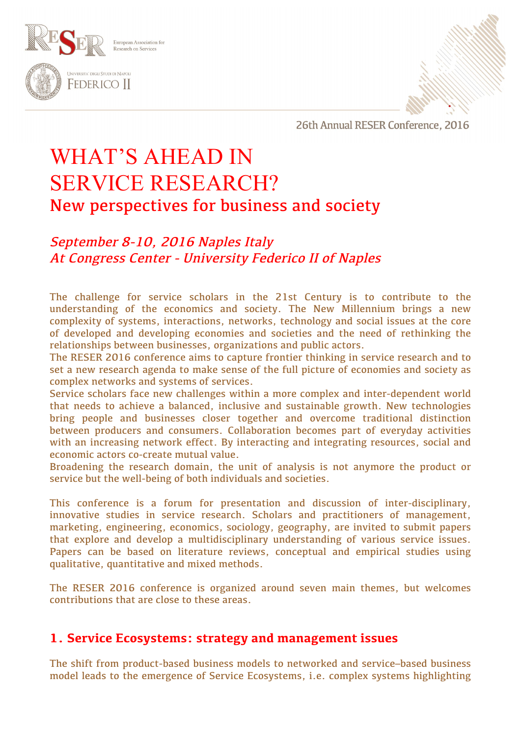



# WHAT'S AHEAD IN SERVICE RESEARCH? New perspectives for business and society

# September 8-10, 2016 Naples Italy At Congress Center - University Federico II of Naples

The challenge for service scholars in the 21st Century is to contribute to the understanding of the economics and society. The New Millennium brings a new complexity of systems, interactions, networks, technology and social issues at the core of developed and developing economies and societies and the need of rethinking the relationships between businesses, organizations and public actors.

The RESER 2016 conference aims to capture frontier thinking in service research and to set a new research agenda to make sense of the full picture of economies and society as complex networks and systems of services.

Service scholars face new challenges within a more complex and inter-dependent world that needs to achieve a balanced, inclusive and sustainable growth. New technologies bring people and businesses closer together and overcome traditional distinction between producers and consumers. Collaboration becomes part of everyday activities with an increasing network effect. By interacting and integrating resources, social and economic actors co-create mutual value.

Broadening the research domain, the unit of analysis is not anymore the product or service but the well-being of both individuals and societies.

This conference is a forum for presentation and discussion of inter-disciplinary, innovative studies in service research. Scholars and practitioners of management, marketing, engineering, economics, sociology, geography, are invited to submit papers that explore and develop a multidisciplinary understanding of various service issues. Papers can be based on literature reviews, conceptual and empirical studies using qualitative, quantitative and mixed methods.

The RESER 2016 conference is organized around seven main themes, but welcomes contributions that are close to these areas.

## **1. Service Ecosystems: strategy and management issues**

The shift from product-based business models to networked and service–based business model leads to the emergence of Service Ecosystems, i.e. complex systems highlighting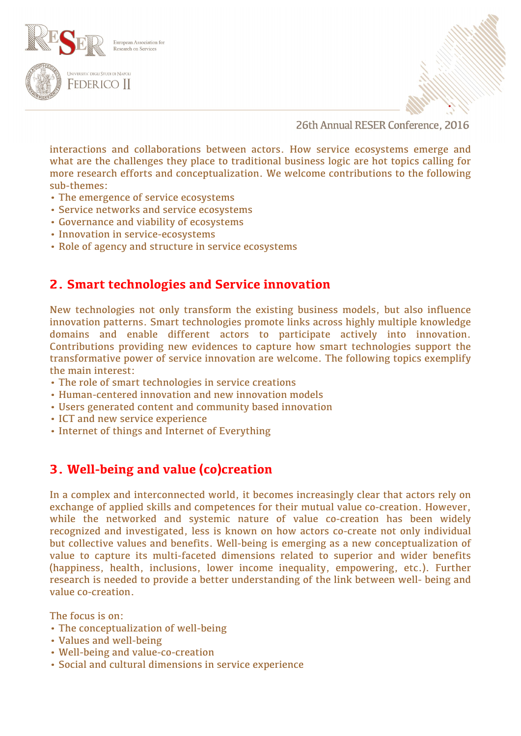



interactions and collaborations between actors. How service ecosystems emerge and what are the challenges they place to traditional business logic are hot topics calling for more research efforts and conceptualization. We welcome contributions to the following sub-themes:

- The emergence of service ecosystems
- Service networks and service ecosystems
- Governance and viability of ecosystems
- Innovation in service-ecosystems
- Role of agency and structure in service ecosystems

# **2. Smart technologies and Service innovation**

New technologies not only transform the existing business models, but also influence innovation patterns. Smart technologies promote links across highly multiple knowledge domains and enable different actors to participate actively into innovation. Contributions providing new evidences to capture how smart technologies support the transformative power of service innovation are welcome. The following topics exemplify the main interest:

- The role of smart technologies in service creations
- Human-centered innovation and new innovation models
- Users generated content and community based innovation
- ICT and new service experience
- Internet of things and Internet of Everything

# **3. Well-being and value (co)creation**

In a complex and interconnected world, it becomes increasingly clear that actors rely on exchange of applied skills and competences for their mutual value co-creation. However, while the networked and systemic nature of value co-creation has been widely recognized and investigated, less is known on how actors co-create not only individual but collective values and benefits. Well-being is emerging as a new conceptualization of value to capture its multi-faceted dimensions related to superior and wider benefits (happiness, health, inclusions, lower income inequality, empowering, etc.). Further research is needed to provide a better understanding of the link between well- being and value co-creation.

The focus is on:

- The conceptualization of well-being
- Values and well-being
- Well-being and value-co-creation
- Social and cultural dimensions in service experience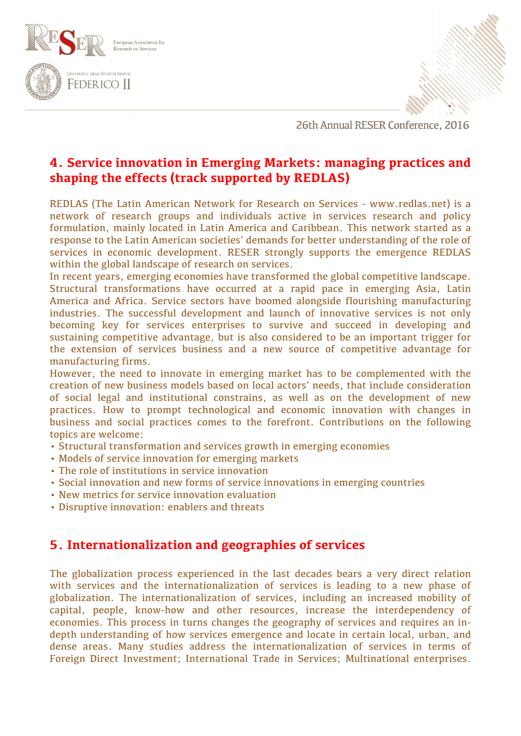



# **4. Service innovation in Emerging Markets: managing practices and shaping the effects (track supported by REDLAS)**

REDLAS (The Latin American Network for Research on Services - www.redlas.net) is a network of research groups and individuals active in services research and policy formulation, mainly located in Latin America and Caribbean. This network started as a response to the Latin American societies' demands for better understanding of the role of services in economic development. RESER strongly supports the emergence REDLAS within the global landscape of research on services.

In recent years, emerging economies have transformed the global competitive landscape. Structural transformations have occurred at a rapid pace in emerging Asia, Latin America and Africa. Service sectors have boomed alongside flourishing manufacturing industries. The successful development and launch of innovative services is not only becoming key for services enterprises to survive and succeed in developing and sustaining competitive advantage, but is also considered to be an important trigger for the extension of services business and a new source of competitive advantage for manufacturing firms.

However, the need to innovate in emerging market has to be complemented with the creation of new business models based on local actors' needs, that include consideration of social legal and institutional constrains, as well as on the development of new practices. How to prompt technological and economic innovation with changes in business and social practices comes to the forefront. Contributions on the following topics are welcome:

- Structural transformation and services growth in emerging economies
- Models of service innovation for emerging markets
- The role of institutions in service innovation
- Social innovation and new forms of service innovations in emerging countries
- New metrics for service innovation evaluation
- Disruptive innovation: enablers and threats

# **5. Internationalization and geographies of services**

The globalization process experienced in the last decades bears a very direct relation with services and the internationalization of services is leading to a new phase of globalization. The internationalization of services, including an increased mobility of capital, people, know-how and other resources, increase the interdependency of economies. This process in turns changes the geography of services and requires an indepth understanding of how services emergence and locate in certain local, urban, and dense areas. Many studies address the internationalization of services in terms of Foreign Direct Investment; International Trade in Services; Multinational enterprises.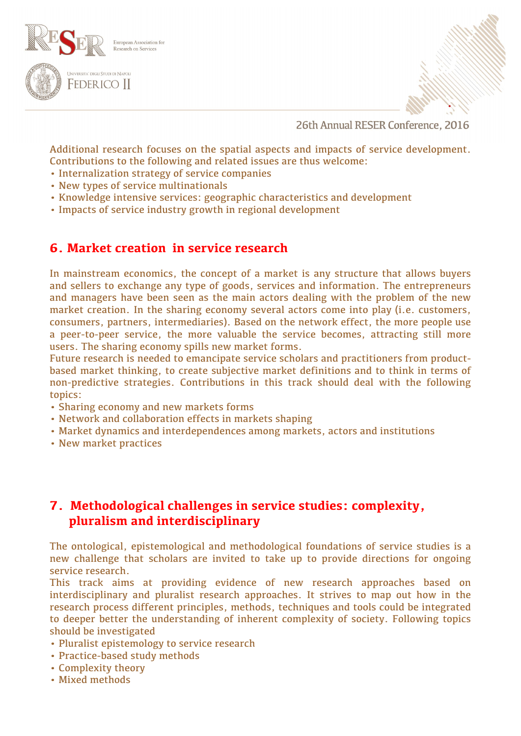



Additional research focuses on the spatial aspects and impacts of service development. Contributions to the following and related issues are thus welcome:

- Internalization strategy of service companies
- New types of service multinationals
- Knowledge intensive services: geographic characteristics and development
- Impacts of service industry growth in regional development

### **6. Market creation in service research**

In mainstream economics, the concept of a market is any structure that allows buyers and sellers to exchange any type of goods, services and information. The entrepreneurs and managers have been seen as the main actors dealing with the problem of the new market creation. In the sharing economy several actors come into play (i.e. customers, consumers, partners, intermediaries). Based on the network effect, the more people use a peer-to-peer service, the more valuable the service becomes, attracting still more users. The sharing economy spills new market forms.

Future research is needed to emancipate service scholars and practitioners from productbased market thinking, to create subjective market definitions and to think in terms of non-predictive strategies. Contributions in this track should deal with the following topics:

- Sharing economy and new markets forms
- Network and collaboration effects in markets shaping
- Market dynamics and interdependences among markets, actors and institutions
- New market practices

## **7. Methodological challenges in service studies: complexity, pluralism and interdisciplinary**

The ontological, epistemological and methodological foundations of service studies is a new challenge that scholars are invited to take up to provide directions for ongoing service research.

This track aims at providing evidence of new research approaches based on interdisciplinary and pluralist research approaches. It strives to map out how in the research process different principles, methods, techniques and tools could be integrated to deeper better the understanding of inherent complexity of society. Following topics should be investigated

- Pluralist epistemology to service research
- Practice-based study methods
- Complexity theory
- Mixed methods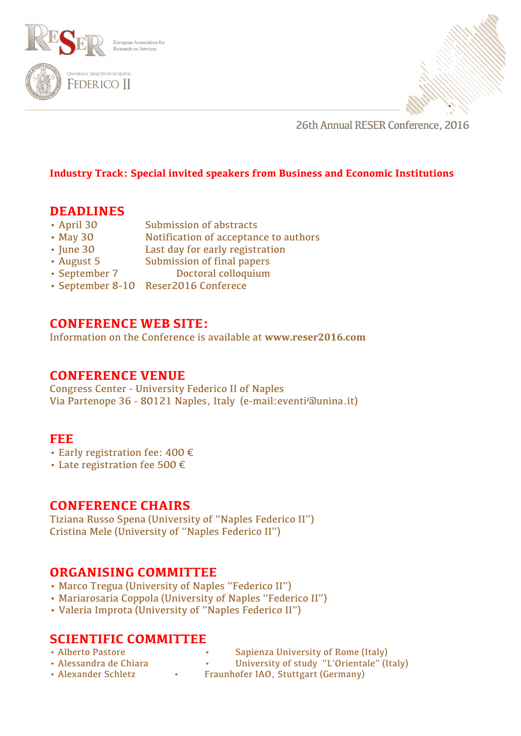



#### **Industry Track: Special invited speakers from Business and Economic Institutions**

## **DEADLINES**

- April 30 Submission of abstracts
- May 30 Notification of acceptance to authors
- June 30 Last day for early registration
- August 5 Submission of final papers
- September 7 Doctoral colloquium
- September 8-10 Reser2016 Conferece

# **CONFERENCE WEB SITE:**

Information on the Conference is available at **www.reser2016.com**

#### **CONFERENCE VENUE**

Congress Center - University Federico II of Naples Via Partenope 36 - 80121 Naples, Italy (e-mail:eventi@unina.it)

#### **FEE**

- Early registration fee: 400 €
- Late registration fee 500 €

## **CONFERENCE CHAIRS**

Tiziana Russo Spena (University of "Naples Federico II") Cristina Mele (University of "Naples Federico II")

## **ORGANISING COMMITTEE**

- Marco Tregua (University of Naples "Federico II")
- Mariarosaria Coppola (University of Naples "Federico II")
- Valeria Improta (University of "Naples Federico II")

## **SCIENTIFIC COMMITTEE**

- 
- Alberto Pastore Sapienza University of Rome (Italy)
- 
- Alessandra de Chiara University of study "L'Orientale" (Italy)
- Alexander Schletz Fraunhofer IAO, Stuttgart (Germany)